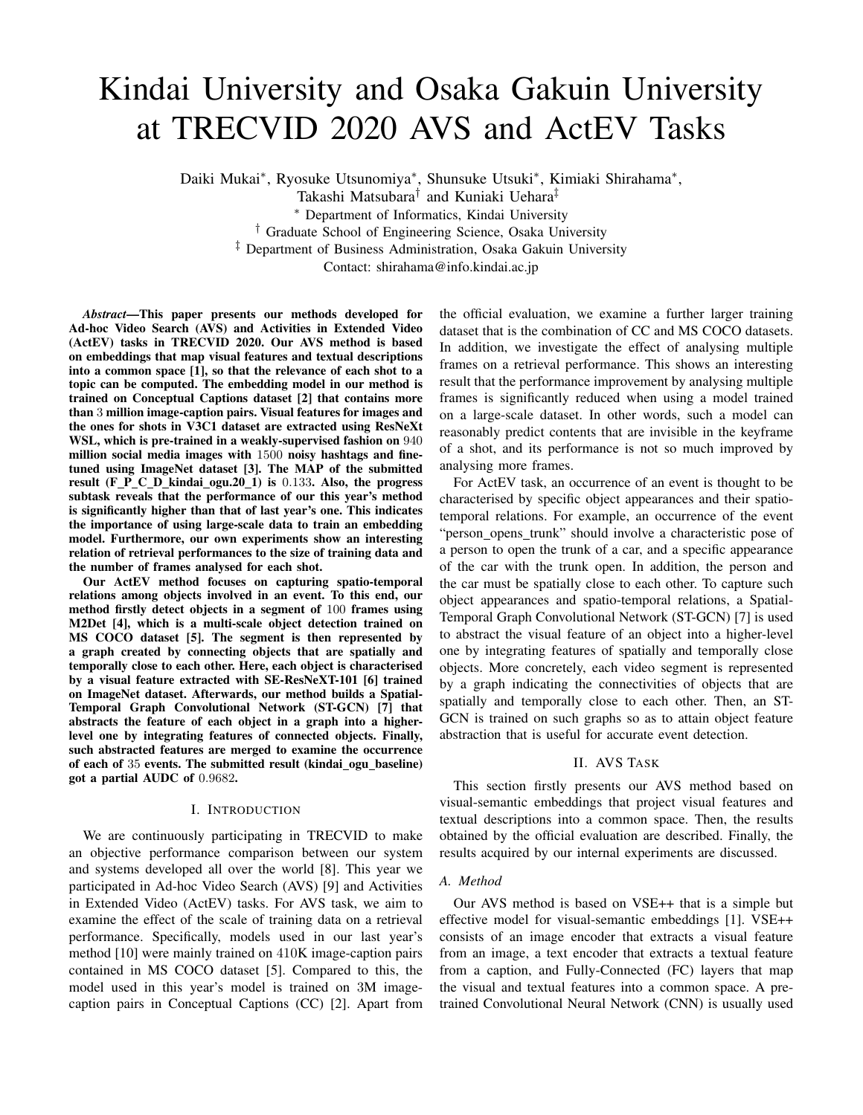# Kindai University and Osaka Gakuin University at TRECVID 2020 AVS and ActEV Tasks

Daiki Mukai<sup>∗</sup> , Ryosuke Utsunomiya<sup>∗</sup> , Shunsuke Utsuki<sup>∗</sup> , Kimiaki Shirahama<sup>∗</sup> ,

Takashi Matsubara† and Kuniaki Uehara‡

<sup>∗</sup> Department of Informatics, Kindai University

† Graduate School of Engineering Science, Osaka University

‡ Department of Business Administration, Osaka Gakuin University

Contact: shirahama@info.kindai.ac.jp

*Abstract*—This paper presents our methods developed for Ad-hoc Video Search (AVS) and Activities in Extended Video (ActEV) tasks in TRECVID 2020. Our AVS method is based on embeddings that map visual features and textual descriptions into a common space [1], so that the relevance of each shot to a topic can be computed. The embedding model in our method is trained on Conceptual Captions dataset [2] that contains more than 3 million image-caption pairs. Visual features for images and the ones for shots in V3C1 dataset are extracted using ResNeXt WSL, which is pre-trained in a weakly-supervised fashion on 940 million social media images with 1500 noisy hashtags and finetuned using ImageNet dataset [3]. The MAP of the submitted result (F P C D kindai ogu.  $20$  1) is 0.133. Also, the progress subtask reveals that the performance of our this year's method is significantly higher than that of last year's one. This indicates the importance of using large-scale data to train an embedding model. Furthermore, our own experiments show an interesting relation of retrieval performances to the size of training data and the number of frames analysed for each shot.

Our ActEV method focuses on capturing spatio-temporal relations among objects involved in an event. To this end, our method firstly detect objects in a segment of 100 frames using M2Det [4], which is a multi-scale object detection trained on MS COCO dataset [5]. The segment is then represented by a graph created by connecting objects that are spatially and temporally close to each other. Here, each object is characterised by a visual feature extracted with SE-ResNeXT-101 [6] trained on ImageNet dataset. Afterwards, our method builds a Spatial-Temporal Graph Convolutional Network (ST-GCN) [7] that abstracts the feature of each object in a graph into a higherlevel one by integrating features of connected objects. Finally, such abstracted features are merged to examine the occurrence of each of 35 events. The submitted result (kindai ogu baseline) got a partial AUDC of 0.9682.

# I. INTRODUCTION

We are continuously participating in TRECVID to make an objective performance comparison between our system and systems developed all over the world [8]. This year we participated in Ad-hoc Video Search (AVS) [9] and Activities in Extended Video (ActEV) tasks. For AVS task, we aim to examine the effect of the scale of training data on a retrieval performance. Specifically, models used in our last year's method [10] were mainly trained on 410K image-caption pairs contained in MS COCO dataset [5]. Compared to this, the model used in this year's model is trained on 3M imagecaption pairs in Conceptual Captions (CC) [2]. Apart from the official evaluation, we examine a further larger training dataset that is the combination of CC and MS COCO datasets. In addition, we investigate the effect of analysing multiple frames on a retrieval performance. This shows an interesting result that the performance improvement by analysing multiple frames is significantly reduced when using a model trained on a large-scale dataset. In other words, such a model can reasonably predict contents that are invisible in the keyframe of a shot, and its performance is not so much improved by analysing more frames.

For ActEV task, an occurrence of an event is thought to be characterised by specific object appearances and their spatiotemporal relations. For example, an occurrence of the event "person\_opens\_trunk" should involve a characteristic pose of a person to open the trunk of a car, and a specific appearance of the car with the trunk open. In addition, the person and the car must be spatially close to each other. To capture such object appearances and spatio-temporal relations, a Spatial-Temporal Graph Convolutional Network (ST-GCN) [7] is used to abstract the visual feature of an object into a higher-level one by integrating features of spatially and temporally close objects. More concretely, each video segment is represented by a graph indicating the connectivities of objects that are spatially and temporally close to each other. Then, an ST-GCN is trained on such graphs so as to attain object feature abstraction that is useful for accurate event detection.

# II. AVS TASK

This section firstly presents our AVS method based on visual-semantic embeddings that project visual features and textual descriptions into a common space. Then, the results obtained by the official evaluation are described. Finally, the results acquired by our internal experiments are discussed.

# *A. Method*

Our AVS method is based on VSE++ that is a simple but effective model for visual-semantic embeddings [1]. VSE++ consists of an image encoder that extracts a visual feature from an image, a text encoder that extracts a textual feature from a caption, and Fully-Connected (FC) layers that map the visual and textual features into a common space. A pretrained Convolutional Neural Network (CNN) is usually used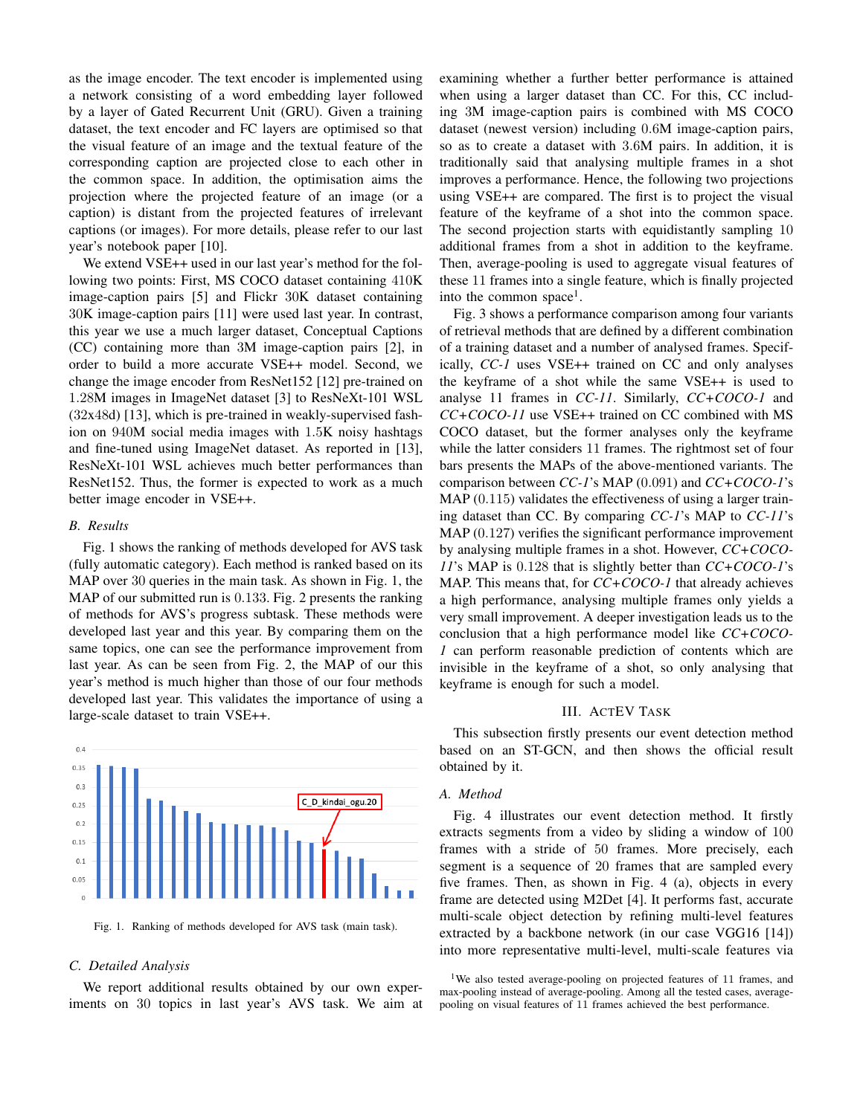as the image encoder. The text encoder is implemented using a network consisting of a word embedding layer followed by a layer of Gated Recurrent Unit (GRU). Given a training dataset, the text encoder and FC layers are optimised so that the visual feature of an image and the textual feature of the corresponding caption are projected close to each other in the common space. In addition, the optimisation aims the projection where the projected feature of an image (or a caption) is distant from the projected features of irrelevant captions (or images). For more details, please refer to our last year's notebook paper [10].

We extend VSE++ used in our last year's method for the following two points: First, MS COCO dataset containing 410K image-caption pairs [5] and Flickr 30K dataset containing 30K image-caption pairs [11] were used last year. In contrast, this year we use a much larger dataset, Conceptual Captions (CC) containing more than 3M image-caption pairs [2], in order to build a more accurate VSE++ model. Second, we change the image encoder from ResNet152 [12] pre-trained on 1.28M images in ImageNet dataset [3] to ResNeXt-101 WSL (32x48d) [13], which is pre-trained in weakly-supervised fashion on 940M social media images with 1.5K noisy hashtags and fine-tuned using ImageNet dataset. As reported in [13], ResNeXt-101 WSL achieves much better performances than ResNet152. Thus, the former is expected to work as a much better image encoder in VSE++.

### *B. Results*

Fig. 1 shows the ranking of methods developed for AVS task (fully automatic category). Each method is ranked based on its MAP over 30 queries in the main task. As shown in Fig. 1, the MAP of our submitted run is 0.133. Fig. 2 presents the ranking of methods for AVS's progress subtask. These methods were developed last year and this year. By comparing them on the same topics, one can see the performance improvement from last year. As can be seen from Fig. 2, the MAP of our this year's method is much higher than those of our four methods developed last year. This validates the importance of using a large-scale dataset to train VSE++.



Fig. 1. Ranking of methods developed for AVS task (main task).

#### *C. Detailed Analysis*

We report additional results obtained by our own experiments on 30 topics in last year's AVS task. We aim at examining whether a further better performance is attained when using a larger dataset than CC. For this, CC including 3M image-caption pairs is combined with MS COCO dataset (newest version) including 0.6M image-caption pairs, so as to create a dataset with 3.6M pairs. In addition, it is traditionally said that analysing multiple frames in a shot improves a performance. Hence, the following two projections using VSE++ are compared. The first is to project the visual feature of the keyframe of a shot into the common space. The second projection starts with equidistantly sampling 10 additional frames from a shot in addition to the keyframe. Then, average-pooling is used to aggregate visual features of these 11 frames into a single feature, which is finally projected into the common space<sup>1</sup>.

Fig. 3 shows a performance comparison among four variants of retrieval methods that are defined by a different combination of a training dataset and a number of analysed frames. Specifically, *CC-1* uses VSE++ trained on CC and only analyses the keyframe of a shot while the same VSE++ is used to analyse 11 frames in *CC-11*. Similarly, *CC+COCO-1* and *CC+COCO-11* use VSE++ trained on CC combined with MS COCO dataset, but the former analyses only the keyframe while the latter considers 11 frames. The rightmost set of four bars presents the MAPs of the above-mentioned variants. The comparison between *CC-1*'s MAP (0.091) and *CC+COCO-1*'s MAP (0.115) validates the effectiveness of using a larger training dataset than CC. By comparing *CC-1*'s MAP to *CC-11*'s MAP (0.127) verifies the significant performance improvement by analysing multiple frames in a shot. However, *CC+COCO-11*'s MAP is 0.128 that is slightly better than *CC+COCO-1*'s MAP. This means that, for *CC+COCO-1* that already achieves a high performance, analysing multiple frames only yields a very small improvement. A deeper investigation leads us to the conclusion that a high performance model like *CC+COCO-1* can perform reasonable prediction of contents which are invisible in the keyframe of a shot, so only analysing that keyframe is enough for such a model.

#### III. ACTEV TASK

This subsection firstly presents our event detection method based on an ST-GCN, and then shows the official result obtained by it.

#### *A. Method*

Fig. 4 illustrates our event detection method. It firstly extracts segments from a video by sliding a window of 100 frames with a stride of 50 frames. More precisely, each segment is a sequence of 20 frames that are sampled every five frames. Then, as shown in Fig. 4 (a), objects in every frame are detected using M2Det [4]. It performs fast, accurate multi-scale object detection by refining multi-level features extracted by a backbone network (in our case VGG16 [14]) into more representative multi-level, multi-scale features via

<sup>&</sup>lt;sup>1</sup>We also tested average-pooling on projected features of 11 frames, and max-pooling instead of average-pooling. Among all the tested cases, averagepooling on visual features of 11 frames achieved the best performance.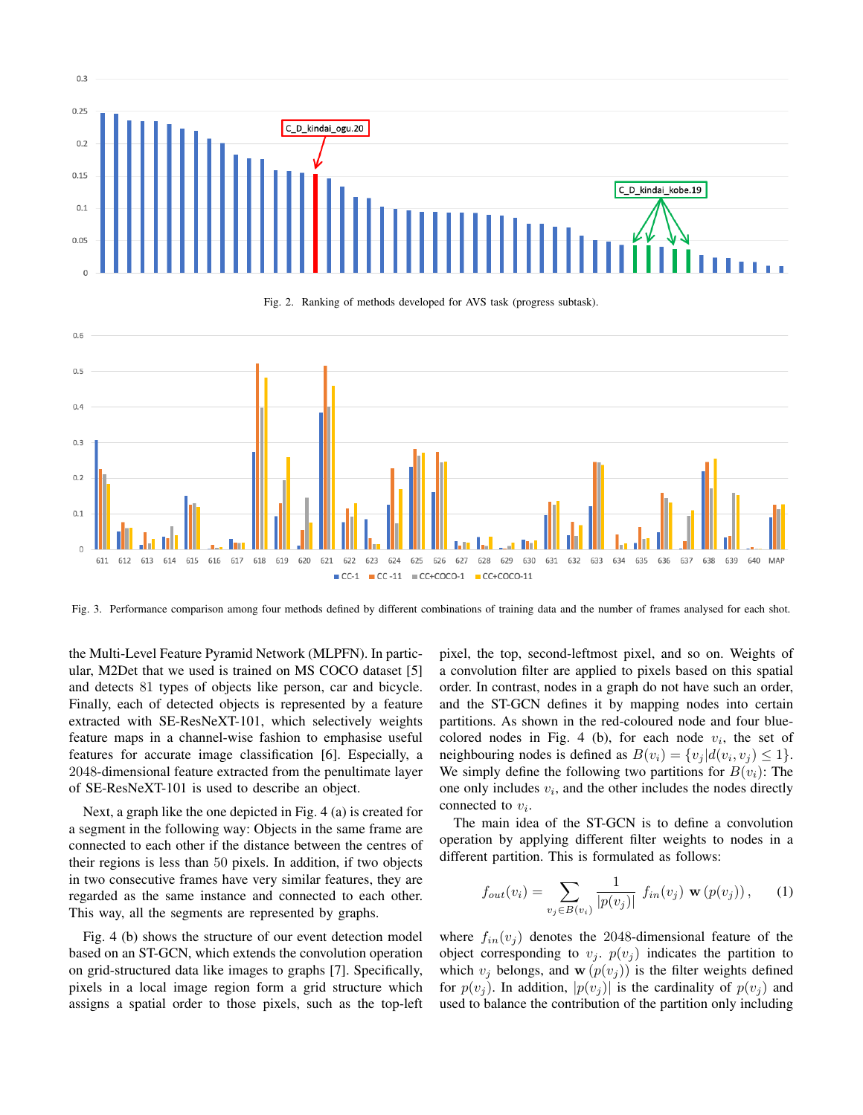

Fig. 2. Ranking of methods developed for AVS task (progress subtask).



Fig. 3. Performance comparison among four methods defined by different combinations of training data and the number of frames analysed for each shot.

the Multi-Level Feature Pyramid Network (MLPFN). In particular, M2Det that we used is trained on MS COCO dataset [5] and detects 81 types of objects like person, car and bicycle. Finally, each of detected objects is represented by a feature extracted with SE-ResNeXT-101, which selectively weights feature maps in a channel-wise fashion to emphasise useful features for accurate image classification [6]. Especially, a 2048-dimensional feature extracted from the penultimate layer of SE-ResNeXT-101 is used to describe an object.

Next, a graph like the one depicted in Fig. 4 (a) is created for a segment in the following way: Objects in the same frame are connected to each other if the distance between the centres of their regions is less than 50 pixels. In addition, if two objects in two consecutive frames have very similar features, they are regarded as the same instance and connected to each other. This way, all the segments are represented by graphs.

Fig. 4 (b) shows the structure of our event detection model based on an ST-GCN, which extends the convolution operation on grid-structured data like images to graphs [7]. Specifically, pixels in a local image region form a grid structure which assigns a spatial order to those pixels, such as the top-left pixel, the top, second-leftmost pixel, and so on. Weights of a convolution filter are applied to pixels based on this spatial order. In contrast, nodes in a graph do not have such an order, and the ST-GCN defines it by mapping nodes into certain partitions. As shown in the red-coloured node and four bluecolored nodes in Fig. 4 (b), for each node  $v_i$ , the set of neighbouring nodes is defined as  $B(v_i) = \{v_j | d(v_i, v_j) \leq 1\}.$ We simply define the following two partitions for  $B(v_i)$ : The one only includes  $v_i$ , and the other includes the nodes directly connected to  $v_i$ .

The main idea of the ST-GCN is to define a convolution operation by applying different filter weights to nodes in a different partition. This is formulated as follows:

$$
f_{out}(v_i) = \sum_{v_j \in B(v_i)} \frac{1}{|p(v_j)|} f_{in}(v_j) \mathbf{w}(p(v_j)), \quad (1)
$$

where  $f_{in}(v_i)$  denotes the 2048-dimensional feature of the object corresponding to  $v_i$ ,  $p(v_i)$  indicates the partition to which  $v_i$  belongs, and  $\mathbf{w}(p(v_i))$  is the filter weights defined for  $p(v_i)$ . In addition,  $|p(v_i)|$  is the cardinality of  $p(v_i)$  and used to balance the contribution of the partition only including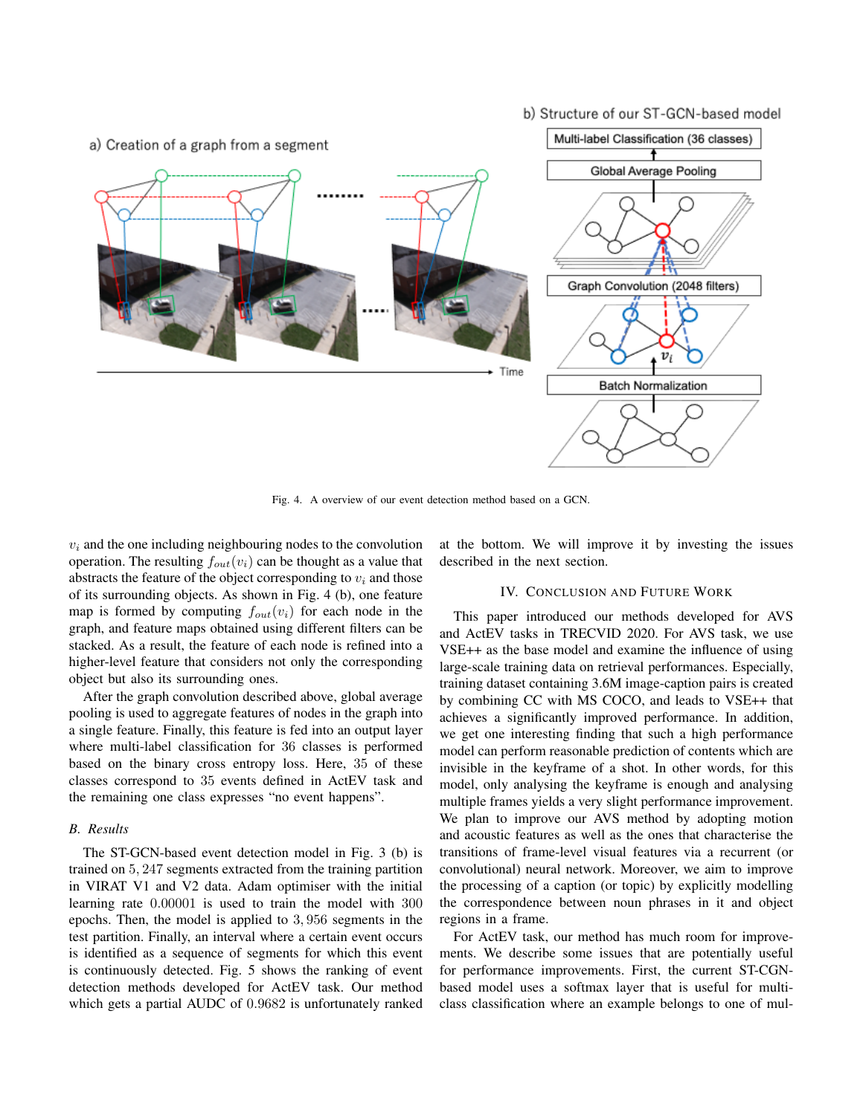# b) Structure of our ST-GCN-based model



Fig. 4. A overview of our event detection method based on a GCN.

 $v_i$  and the one including neighbouring nodes to the convolution operation. The resulting  $f_{out}(v_i)$  can be thought as a value that abstracts the feature of the object corresponding to  $v_i$  and those of its surrounding objects. As shown in Fig. 4 (b), one feature map is formed by computing  $f_{out}(v_i)$  for each node in the graph, and feature maps obtained using different filters can be stacked. As a result, the feature of each node is refined into a higher-level feature that considers not only the corresponding object but also its surrounding ones.

After the graph convolution described above, global average pooling is used to aggregate features of nodes in the graph into a single feature. Finally, this feature is fed into an output layer where multi-label classification for 36 classes is performed based on the binary cross entropy loss. Here, 35 of these classes correspond to 35 events defined in ActEV task and the remaining one class expresses "no event happens".

# *B. Results*

The ST-GCN-based event detection model in Fig. 3 (b) is trained on 5, 247 segments extracted from the training partition in VIRAT V1 and V2 data. Adam optimiser with the initial learning rate 0.00001 is used to train the model with 300 epochs. Then, the model is applied to 3, 956 segments in the test partition. Finally, an interval where a certain event occurs is identified as a sequence of segments for which this event is continuously detected. Fig. 5 shows the ranking of event detection methods developed for ActEV task. Our method which gets a partial AUDC of 0.9682 is unfortunately ranked

at the bottom. We will improve it by investing the issues described in the next section.

# IV. CONCLUSION AND FUTURE WORK

This paper introduced our methods developed for AVS and ActEV tasks in TRECVID 2020. For AVS task, we use VSE++ as the base model and examine the influence of using large-scale training data on retrieval performances. Especially, training dataset containing 3.6M image-caption pairs is created by combining CC with MS COCO, and leads to VSE++ that achieves a significantly improved performance. In addition, we get one interesting finding that such a high performance model can perform reasonable prediction of contents which are invisible in the keyframe of a shot. In other words, for this model, only analysing the keyframe is enough and analysing multiple frames yields a very slight performance improvement. We plan to improve our AVS method by adopting motion and acoustic features as well as the ones that characterise the transitions of frame-level visual features via a recurrent (or convolutional) neural network. Moreover, we aim to improve the processing of a caption (or topic) by explicitly modelling the correspondence between noun phrases in it and object regions in a frame.

For ActEV task, our method has much room for improvements. We describe some issues that are potentially useful for performance improvements. First, the current ST-CGNbased model uses a softmax layer that is useful for multiclass classification where an example belongs to one of mul-